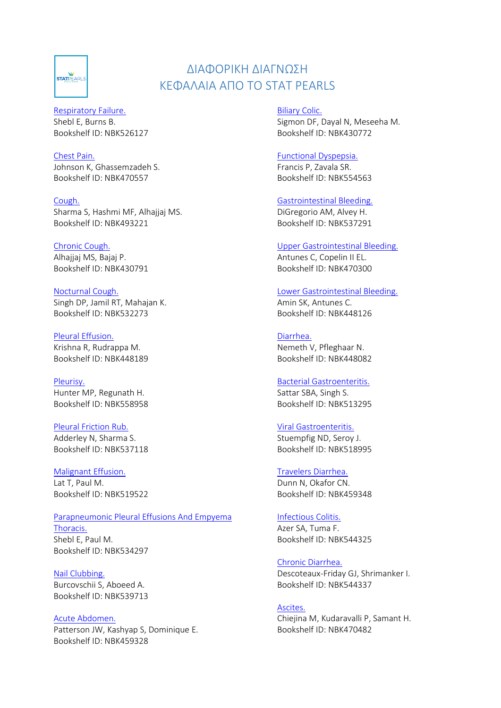

# ΔΙΑΦΟΡΙΚΗ ΔΙΑΓΝΩΣΗ ΚΕΦΑΛΑΙΑ ΑΠΟ ΤΟ STAT PEARLS

[Respiratory Failure.](https://www.ncbi.nlm.nih.gov/books/NBK526127) Shebl E, Burns B. Bookshelf ID: NBK526127

[Chest Pain.](https://www.ncbi.nlm.nih.gov/books/NBK470557) Johnson K, Ghassemzadeh S. Bookshelf ID: NBK470557

[Cough.](https://www.ncbi.nlm.nih.gov/books/NBK493221) Sharma S, Hashmi MF, Alhajjaj MS. Bookshelf ID: NBK493221

[Chronic Cough.](https://www.ncbi.nlm.nih.gov/books/NBK430791) Alhajjaj MS, Bajaj P. Bookshelf ID: NBK430791

[Nocturnal Cough.](https://www.ncbi.nlm.nih.gov/books/NBK532273) Singh DP, Jamil RT, Mahajan K. Bookshelf ID: NBK532273

[Pleural Effusion.](https://www.ncbi.nlm.nih.gov/books/NBK448189) Krishna R, Rudrappa M. Bookshelf ID: NBK448189

[Pleurisy.](https://www.ncbi.nlm.nih.gov/books/NBK558958) Hunter MP, Regunath H. Bookshelf ID: NBK558958

[Pleural Friction Rub.](https://www.ncbi.nlm.nih.gov/books/NBK537118) Adderley N, Sharma S. Bookshelf ID: NBK537118

[Malignant Effusion.](https://www.ncbi.nlm.nih.gov/books/NBK519522) Lat T, Paul M. Bookshelf ID: NBK519522

[Parapneumonic Pleural Effusions And Empyema](https://www.ncbi.nlm.nih.gov/books/NBK534297)  [Thoracis.](https://www.ncbi.nlm.nih.gov/books/NBK534297) Shebl E, Paul M. Bookshelf ID: NBK534297

[Nail Clubbing.](https://www.ncbi.nlm.nih.gov/books/NBK539713) Burcovschii S, Aboeed A. Bookshelf ID: NBK539713

[Acute Abdomen.](https://www.ncbi.nlm.nih.gov/books/NBK459328) Patterson JW, Kashyap S, Dominique E. Bookshelf ID: NBK459328

[Biliary Colic.](https://www.ncbi.nlm.nih.gov/books/NBK430772) Sigmon DF, Dayal N, Meseeha M. Bookshelf ID: NBK430772

[Functional Dyspepsia.](https://www.ncbi.nlm.nih.gov/books/NBK554563) Francis P, Zavala SR. Bookshelf ID: NBK554563

[Gastrointestinal Bleeding.](https://www.ncbi.nlm.nih.gov/books/NBK537291) DiGregorio AM, Alvey H. Bookshelf ID: NBK537291

[Upper Gastrointestinal Bleeding.](https://www.ncbi.nlm.nih.gov/books/NBK470300) Antunes C, Copelin II EL. Bookshelf ID: NBK470300

[Lower Gastrointestinal Bleeding.](https://www.ncbi.nlm.nih.gov/books/NBK448126) Amin SK, Antunes C. Bookshelf ID: NBK448126

[Diarrhea.](https://www.ncbi.nlm.nih.gov/books/NBK448082) Nemeth V, Pfleghaar N. Bookshelf ID: NBK448082

[Bacterial Gastroenteritis.](https://www.ncbi.nlm.nih.gov/books/NBK513295) Sattar SBA, Singh S. Bookshelf ID: NBK513295

[Viral Gastroenteritis.](https://www.ncbi.nlm.nih.gov/books/NBK518995) Stuempfig ND, Seroy J. Bookshelf ID: NBK518995

[Travelers Diarrhea.](https://www.ncbi.nlm.nih.gov/books/NBK459348) Dunn N, Okafor CN. Bookshelf ID: NBK459348

[Infectious Colitis.](https://www.ncbi.nlm.nih.gov/books/NBK544325) Azer SA, Tuma F. Bookshelf ID: NBK544325

[Chronic Diarrhea.](https://www.ncbi.nlm.nih.gov/books/NBK544337) Descoteaux-Friday GJ, Shrimanker I. Bookshelf ID: NBK544337

[Ascites.](https://www.ncbi.nlm.nih.gov/books/NBK470482) Chiejina M, Kudaravalli P, Samant H. Bookshelf ID: NBK470482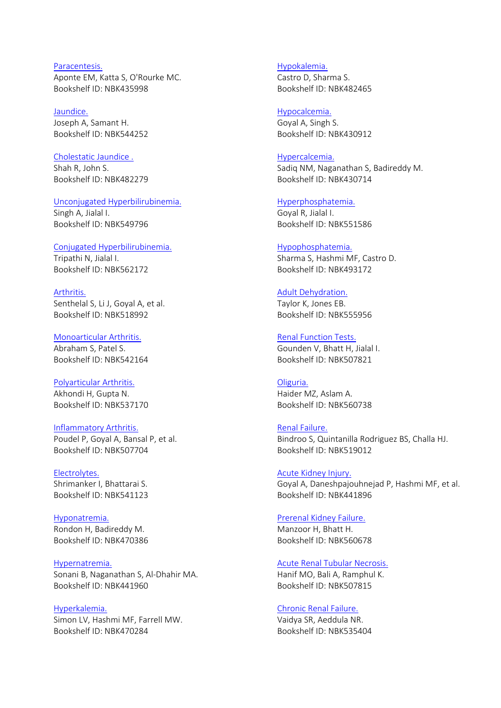[Paracentesis.](https://www.ncbi.nlm.nih.gov/books/NBK435998) Aponte EM, Katta S, O'Rourke MC. Bookshelf ID: NBK435998

[Jaundice.](https://www.ncbi.nlm.nih.gov/books/NBK544252) Joseph A, Samant H. Bookshelf ID: NBK544252

[Cholestatic Jaundice](https://www.ncbi.nlm.nih.gov/books/NBK482279) .

Shah R, John S. Bookshelf ID: NBK482279

#### [Unconjugated Hyperbilirubinemia.](https://www.ncbi.nlm.nih.gov/books/NBK549796)

Singh A, Jialal I. Bookshelf ID: NBK549796

#### [Conjugated Hyperbilirubinemia.](https://www.ncbi.nlm.nih.gov/books/NBK562172)

Tripathi N, Jialal I. Bookshelf ID: NBK562172

[Arthritis.](https://www.ncbi.nlm.nih.gov/books/NBK518992) Senthelal S, Li J, Goyal A, et al. Bookshelf ID: NBK518992

[Monoarticular Arthritis.](https://www.ncbi.nlm.nih.gov/books/NBK542164) Abraham S, Patel S. Bookshelf ID: NBK542164

[Polyarticular Arthritis.](https://www.ncbi.nlm.nih.gov/books/NBK537170) Akhondi H, Gupta N. Bookshelf ID: NBK537170

[Inflammatory Arthritis.](https://www.ncbi.nlm.nih.gov/books/NBK507704) Poudel P, Goyal A, Bansal P, et al. Bookshelf ID: NBK507704

[Electrolytes.](https://www.ncbi.nlm.nih.gov/books/NBK541123) Shrimanker I, Bhattarai S. Bookshelf ID: NBK541123

[Hyponatremia.](https://www.ncbi.nlm.nih.gov/books/NBK470386) Rondon H, Badireddy M. Bookshelf ID: NBK470386

[Hypernatremia.](https://www.ncbi.nlm.nih.gov/books/NBK441960) Sonani B, Naganathan S, Al-Dhahir MA. Bookshelf ID: NBK441960

[Hyperkalemia.](https://www.ncbi.nlm.nih.gov/books/NBK470284) Simon LV, Hashmi MF, Farrell MW. Bookshelf ID: NBK470284

[Hypokalemia.](https://www.ncbi.nlm.nih.gov/books/NBK482465) Castro D, Sharma S. Bookshelf ID: NBK482465

[Hypocalcemia.](https://www.ncbi.nlm.nih.gov/books/NBK430912) Goyal A, Singh S. Bookshelf ID: NBK430912

[Hypercalcemia.](https://www.ncbi.nlm.nih.gov/books/NBK430714) Sadiq NM, Naganathan S, Badireddy M. Bookshelf ID: NBK430714

[Hyperphosphatemia.](https://www.ncbi.nlm.nih.gov/books/NBK551586) Goyal R, Jialal I. Bookshelf ID: NBK551586

[Hypophosphatemia.](https://www.ncbi.nlm.nih.gov/books/NBK493172) Sharma S, Hashmi MF, Castro D. Bookshelf ID: NBK493172

[Adult Dehydration.](https://www.ncbi.nlm.nih.gov/books/NBK555956) Taylor K, Jones EB.

Bookshelf ID: NBK555956

[Renal Function Tests.](https://www.ncbi.nlm.nih.gov/books/NBK507821) Gounden V, Bhatt H, Jialal I. Bookshelf ID: NBK507821

[Oliguria.](https://www.ncbi.nlm.nih.gov/books/NBK560738)

Haider MZ, Aslam A. Bookshelf ID: NBK560738

[Renal Failure.](https://www.ncbi.nlm.nih.gov/books/NBK519012) Bindroo S, Quintanilla Rodriguez BS, Challa HJ. Bookshelf ID: NBK519012

[Acute Kidney Injury.](https://www.ncbi.nlm.nih.gov/books/NBK441896) Goyal A, Daneshpajouhnejad P, Hashmi MF, et al. Bookshelf ID: NBK441896

[Prerenal Kidney Failure.](https://www.ncbi.nlm.nih.gov/books/NBK560678) Manzoor H, Bhatt H. Bookshelf ID: NBK560678

[Acute Renal Tubular Necrosis.](https://www.ncbi.nlm.nih.gov/books/NBK507815) Hanif MO, Bali A, Ramphul K. Bookshelf ID: NBK507815

[Chronic Renal Failure.](https://www.ncbi.nlm.nih.gov/books/NBK535404) Vaidya SR, Aeddula NR. Bookshelf ID: NBK535404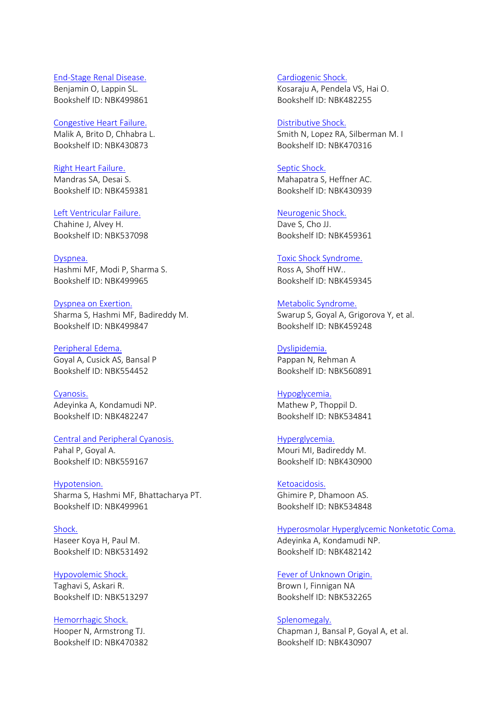#### End-[Stage Renal Disease.](https://www.ncbi.nlm.nih.gov/books/NBK499861) Benjamin O, Lappin SL. Bookshelf ID: NBK499861

#### [Congestive Heart Failure.](https://www.ncbi.nlm.nih.gov/books/NBK430873)

Malik A, Brito D, Chhabra L. Bookshelf ID: NBK430873

#### [Right Heart Failure.](https://www.ncbi.nlm.nih.gov/books/NBK459381)

Mandras SA, Desai S. Bookshelf ID: NBK459381

# [Left Ventricular Failure.](https://www.ncbi.nlm.nih.gov/books/NBK537098)

Chahine J, Alvey H. Bookshelf ID: NBK537098

#### [Dyspnea.](https://www.ncbi.nlm.nih.gov/books/NBK499965) Hashmi MF, Modi P, Sharma S. Bookshelf ID: NBK499965

[Dyspnea on Exertion.](https://www.ncbi.nlm.nih.gov/books/NBK499847) Sharma S, Hashmi MF, Badireddy M. Bookshelf ID: NBK499847

# [Peripheral Edema.](https://www.ncbi.nlm.nih.gov/books/NBK554452) Goyal A, Cusick AS, Bansal P Bookshelf ID: NBK554452

[Cyanosis.](https://www.ncbi.nlm.nih.gov/books/NBK482247) Adeyinka A, Kondamudi NP. Bookshelf ID: NBK482247

#### [Central and Peripheral Cyanosis.](https://www.ncbi.nlm.nih.gov/books/NBK559167)

Pahal P, Goyal A. Bookshelf ID: NBK559167

#### [Hypotension.](https://www.ncbi.nlm.nih.gov/books/NBK499961)

Sharma S, Hashmi MF, Bhattacharya PT. Bookshelf ID: NBK499961

[Shock.](https://www.ncbi.nlm.nih.gov/books/NBK531492) Haseer Koya H, Paul M. Bookshelf ID: NBK531492

# [Hypovolemic Shock.](https://www.ncbi.nlm.nih.gov/books/NBK513297)

Taghavi S, Askari R. Bookshelf ID: NBK513297

# [Hemorrhagic Shock.](https://www.ncbi.nlm.nih.gov/books/NBK470382)

Hooper N, Armstrong TJ. Bookshelf ID: NBK470382 [Cardiogenic Shock.](https://www.ncbi.nlm.nih.gov/books/NBK482255) Kosaraju A, Pendela VS, Hai O. Bookshelf ID: NBK482255

#### [Distributive Shock.](https://www.ncbi.nlm.nih.gov/books/NBK470316) Smith N, Lopez RA, Silberman M. I Bookshelf ID: NBK470316

# [Septic Shock.](https://www.ncbi.nlm.nih.gov/books/NBK430939)

Mahapatra S, Heffner AC. Bookshelf ID: NBK430939

# [Neurogenic Shock.](https://www.ncbi.nlm.nih.gov/books/NBK459361)

Dave S, Cho JJ. Bookshelf ID: NBK459361

#### [Toxic Shock Syndrome.](https://www.ncbi.nlm.nih.gov/books/NBK459345)

Ross A, Shoff HW.. Bookshelf ID: NBK459345

# [Metabolic Syndrome.](https://www.ncbi.nlm.nih.gov/books/NBK459248)

Swarup S, Goyal A, Grigorova Y, et al. Bookshelf ID: NBK459248

# [Dyslipidemia.](https://www.ncbi.nlm.nih.gov/books/NBK560891)

Pappan N, Rehman A Bookshelf ID: NBK560891

#### [Hypoglycemia.](https://www.ncbi.nlm.nih.gov/books/NBK534841)

Mathew P, Thoppil D. Bookshelf ID: NBK534841

#### [Hyperglycemia.](https://www.ncbi.nlm.nih.gov/books/NBK430900)

Mouri MI, Badireddy M. Bookshelf ID: NBK430900

# [Ketoacidosis.](https://www.ncbi.nlm.nih.gov/books/NBK534848) Ghimire P, Dhamoon AS. Bookshelf ID: NBK534848

# [Hyperosmolar Hyperglycemic Nonketotic Coma.](https://www.ncbi.nlm.nih.gov/books/NBK482142)

Adeyinka A, Kondamudi NP. Bookshelf ID: NBK482142

## [Fever of Unknown Origin.](https://www.ncbi.nlm.nih.gov/books/NBK532265) Brown I, Finnigan NA

Bookshelf ID: NBK532265

#### [Splenomegaly.](https://www.ncbi.nlm.nih.gov/books/NBK430907)

Chapman J, Bansal P, Goyal A, et al. Bookshelf ID: NBK430907